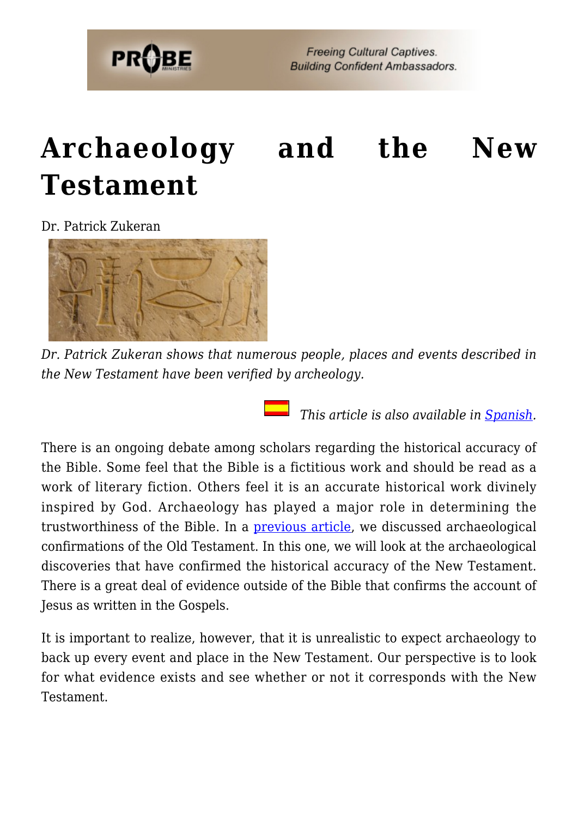

# **[Archaeology and the New](https://probe.org/archaeology-and-the-new-testament/) [Testament](https://probe.org/archaeology-and-the-new-testament/)**

Dr. Patrick Zukeran



*Dr. Patrick Zukeran shows that numerous people, places and events described in the New Testament have been verified by archeology.*

 *This article is also available in [Spanish.](http://www.ministeriosprobe.org/docs/arqueologia-nt.html)*

There is an ongoing debate among scholars regarding the historical accuracy of the Bible. Some feel that the Bible is a fictitious work and should be read as a work of literary fiction. Others feel it is an accurate historical work divinely inspired by God. Archaeology has played a major role in determining the trustworthiness of the Bible. In a [previous article,](https://www.probe.org/archaeology-and-the-old-testament/) we discussed archaeological confirmations of the Old Testament. In this one, we will look at the archaeological discoveries that have confirmed the historical accuracy of the New Testament. There is a great deal of evidence outside of the Bible that confirms the account of Jesus as written in the Gospels.

It is important to realize, however, that it is unrealistic to expect archaeology to back up every event and place in the New Testament. Our perspective is to look for what evidence exists and see whether or not it corresponds with the New Testament.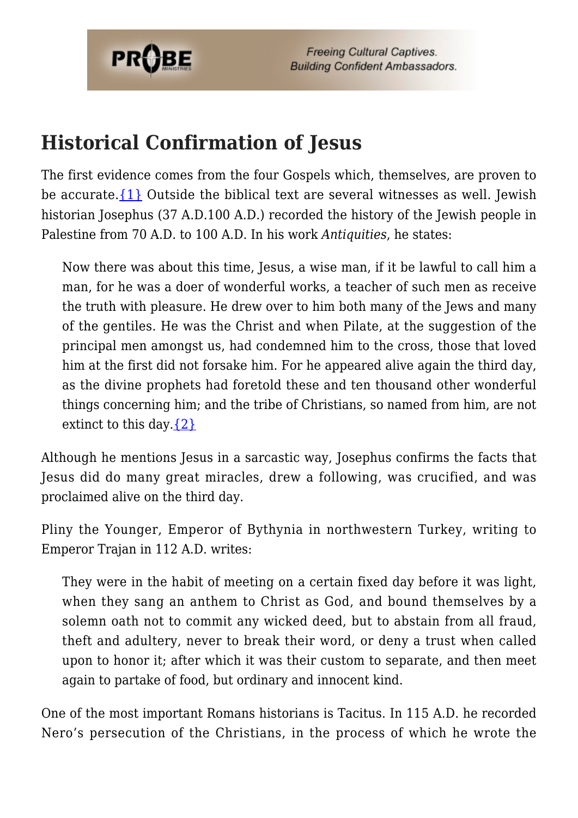

#### **Historical Confirmation of Jesus**

The first evidence comes from the four Gospels which, themselves, are proven to be accurate. $\{1\}$  Outside the biblical text are several witnesses as well. Jewish historian Josephus (37 A.D.100 A.D.) recorded the history of the Jewish people in Palestine from 70 A.D. to 100 A.D. In his work *Antiquities*, he states:

Now there was about this time, Jesus, a wise man, if it be lawful to call him a man, for he was a doer of wonderful works, a teacher of such men as receive the truth with pleasure. He drew over to him both many of the Jews and many of the gentiles. He was the Christ and when Pilate, at the suggestion of the principal men amongst us, had condemned him to the cross, those that loved him at the first did not forsake him. For he appeared alive again the third day, as the divine prophets had foretold these and ten thousand other wonderful things concerning him; and the tribe of Christians, so named from him, are not extinct to this day.  $\{2\}$ 

Although he mentions Jesus in a sarcastic way, Josephus confirms the facts that Jesus did do many great miracles, drew a following, was crucified, and was proclaimed alive on the third day.

Pliny the Younger, Emperor of Bythynia in northwestern Turkey, writing to Emperor Trajan in 112 A.D. writes:

They were in the habit of meeting on a certain fixed day before it was light, when they sang an anthem to Christ as God, and bound themselves by a solemn oath not to commit any wicked deed, but to abstain from all fraud, theft and adultery, never to break their word, or deny a trust when called upon to honor it; after which it was their custom to separate, and then meet again to partake of food, but ordinary and innocent kind.

One of the most important Romans historians is Tacitus. In 115 A.D. he recorded Nero's persecution of the Christians, in the process of which he wrote the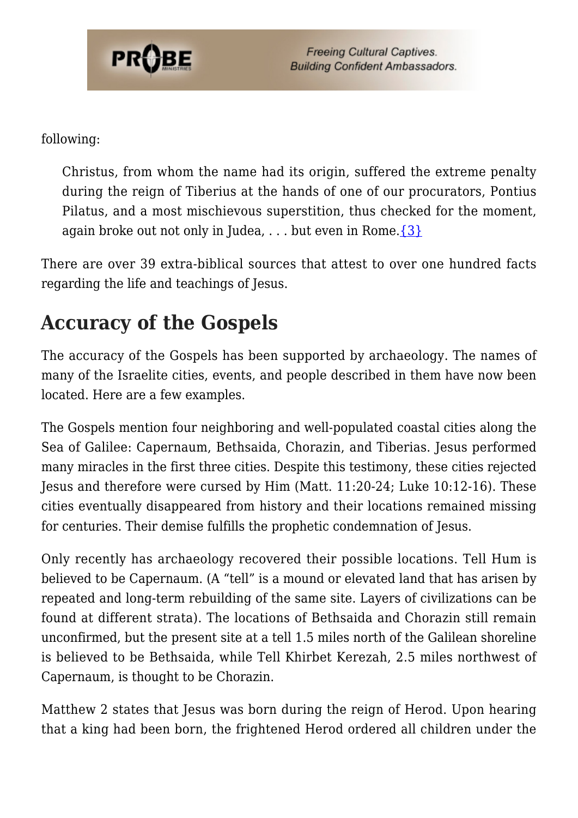

following:

Christus, from whom the name had its origin, suffered the extreme penalty during the reign of Tiberius at the hands of one of our procurators, Pontius Pilatus, and a most mischievous superstition, thus checked for the moment, again broke out not only in Judea,  $\dots$  but even in Rome.  $\{3\}$ 

There are over 39 extra-biblical sources that attest to over one hundred facts regarding the life and teachings of Jesus.

# **Accuracy of the Gospels**

The accuracy of the Gospels has been supported by archaeology. The names of many of the Israelite cities, events, and people described in them have now been located. Here are a few examples.

The Gospels mention four neighboring and well-populated coastal cities along the Sea of Galilee: Capernaum, Bethsaida, Chorazin, and Tiberias. Jesus performed many miracles in the first three cities. Despite this testimony, these cities rejected Jesus and therefore were cursed by Him (Matt. 11:20-24; Luke 10:12-16). These cities eventually disappeared from history and their locations remained missing for centuries. Their demise fulfills the prophetic condemnation of Jesus.

Only recently has archaeology recovered their possible locations. Tell Hum is believed to be Capernaum. (A "tell" is a mound or elevated land that has arisen by repeated and long-term rebuilding of the same site. Layers of civilizations can be found at different strata). The locations of Bethsaida and Chorazin still remain unconfirmed, but the present site at a tell 1.5 miles north of the Galilean shoreline is believed to be Bethsaida, while Tell Khirbet Kerezah, 2.5 miles northwest of Capernaum, is thought to be Chorazin.

Matthew 2 states that Jesus was born during the reign of Herod. Upon hearing that a king had been born, the frightened Herod ordered all children under the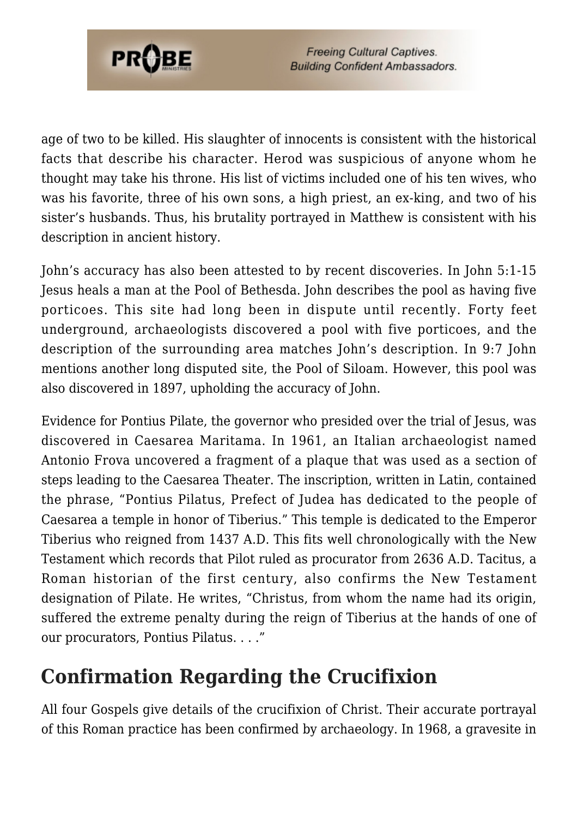

age of two to be killed. His slaughter of innocents is consistent with the historical facts that describe his character. Herod was suspicious of anyone whom he thought may take his throne. His list of victims included one of his ten wives, who was his favorite, three of his own sons, a high priest, an ex-king, and two of his sister's husbands. Thus, his brutality portrayed in Matthew is consistent with his description in ancient history.

John's accuracy has also been attested to by recent discoveries. In John 5:1-15 Jesus heals a man at the Pool of Bethesda. John describes the pool as having five porticoes. This site had long been in dispute until recently. Forty feet underground, archaeologists discovered a pool with five porticoes, and the description of the surrounding area matches John's description. In 9:7 John mentions another long disputed site, the Pool of Siloam. However, this pool was also discovered in 1897, upholding the accuracy of John.

Evidence for Pontius Pilate, the governor who presided over the trial of Jesus, was discovered in Caesarea Maritama. In 1961, an Italian archaeologist named Antonio Frova uncovered a fragment of a plaque that was used as a section of steps leading to the Caesarea Theater. The inscription, written in Latin, contained the phrase, "Pontius Pilatus, Prefect of Judea has dedicated to the people of Caesarea a temple in honor of Tiberius." This temple is dedicated to the Emperor Tiberius who reigned from 1437 A.D. This fits well chronologically with the New Testament which records that Pilot ruled as procurator from 2636 A.D. Tacitus, a Roman historian of the first century, also confirms the New Testament designation of Pilate. He writes, "Christus, from whom the name had its origin, suffered the extreme penalty during the reign of Tiberius at the hands of one of our procurators, Pontius Pilatus. . . ."

### **Confirmation Regarding the Crucifixion**

All four Gospels give details of the crucifixion of Christ. Their accurate portrayal of this Roman practice has been confirmed by archaeology. In 1968, a gravesite in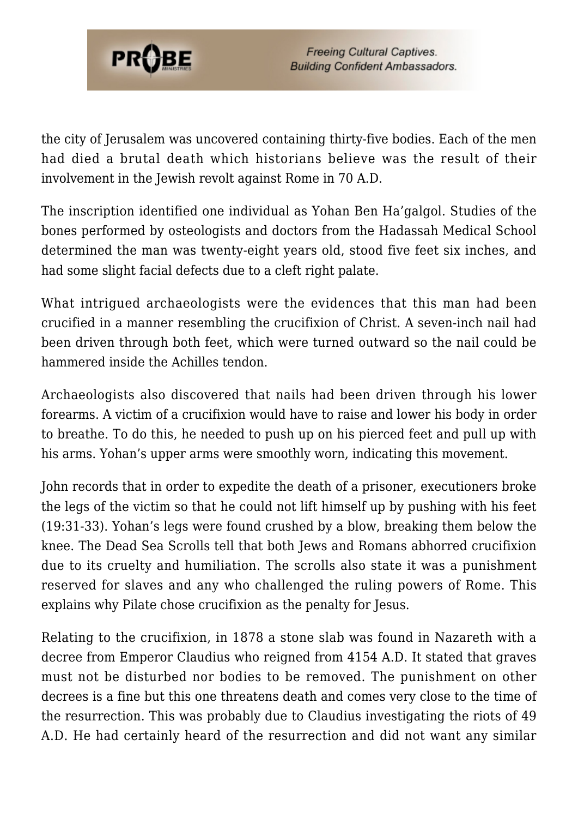

the city of Jerusalem was uncovered containing thirty-five bodies. Each of the men had died a brutal death which historians believe was the result of their involvement in the Jewish revolt against Rome in 70 A.D.

The inscription identified one individual as Yohan Ben Ha'galgol. Studies of the bones performed by osteologists and doctors from the Hadassah Medical School determined the man was twenty-eight years old, stood five feet six inches, and had some slight facial defects due to a cleft right palate.

What intrigued archaeologists were the evidences that this man had been crucified in a manner resembling the crucifixion of Christ. A seven-inch nail had been driven through both feet, which were turned outward so the nail could be hammered inside the Achilles tendon.

Archaeologists also discovered that nails had been driven through his lower forearms. A victim of a crucifixion would have to raise and lower his body in order to breathe. To do this, he needed to push up on his pierced feet and pull up with his arms. Yohan's upper arms were smoothly worn, indicating this movement.

John records that in order to expedite the death of a prisoner, executioners broke the legs of the victim so that he could not lift himself up by pushing with his feet (19:31-33). Yohan's legs were found crushed by a blow, breaking them below the knee. The Dead Sea Scrolls tell that both Jews and Romans abhorred crucifixion due to its cruelty and humiliation. The scrolls also state it was a punishment reserved for slaves and any who challenged the ruling powers of Rome. This explains why Pilate chose crucifixion as the penalty for Jesus.

Relating to the crucifixion, in 1878 a stone slab was found in Nazareth with a decree from Emperor Claudius who reigned from 4154 A.D. It stated that graves must not be disturbed nor bodies to be removed. The punishment on other decrees is a fine but this one threatens death and comes very close to the time of the resurrection. This was probably due to Claudius investigating the riots of 49 A.D. He had certainly heard of the resurrection and did not want any similar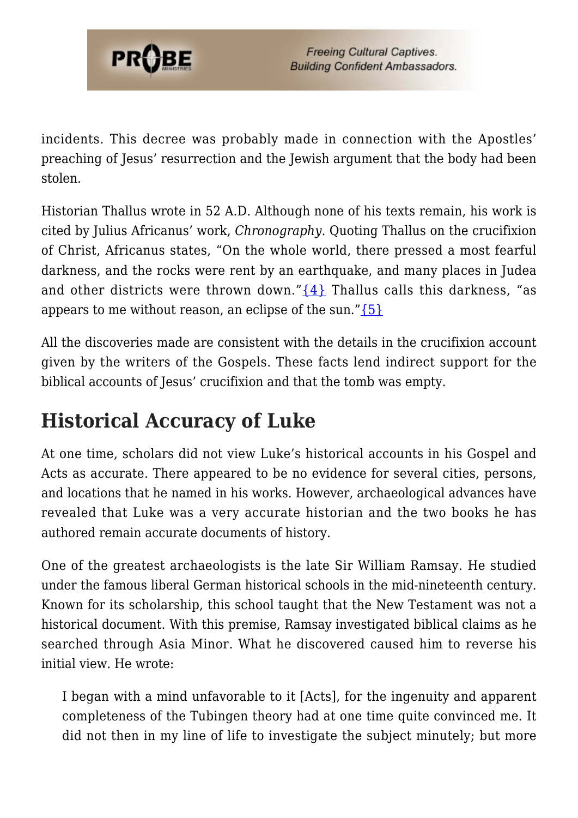

incidents. This decree was probably made in connection with the Apostles' preaching of Jesus' resurrection and the Jewish argument that the body had been stolen.

Historian Thallus wrote in 52 A.D. Although none of his texts remain, his work is cited by Julius Africanus' work, *Chronography*. Quoting Thallus on the crucifixion of Christ, Africanus states, "On the whole world, there pressed a most fearful darkness, and the rocks were rent by an earthquake, and many places in Judea and other districts were thrown down." $\{4\}$  Thallus calls this darkness, "as appears to me without reason, an eclipse of the sun." $\{5\}$ 

All the discoveries made are consistent with the details in the crucifixion account given by the writers of the Gospels. These facts lend indirect support for the biblical accounts of Jesus' crucifixion and that the tomb was empty.

# **Historical Accuracy of Luke**

At one time, scholars did not view Luke's historical accounts in his Gospel and Acts as accurate. There appeared to be no evidence for several cities, persons, and locations that he named in his works. However, archaeological advances have revealed that Luke was a very accurate historian and the two books he has authored remain accurate documents of history.

One of the greatest archaeologists is the late Sir William Ramsay. He studied under the famous liberal German historical schools in the mid-nineteenth century. Known for its scholarship, this school taught that the New Testament was not a historical document. With this premise, Ramsay investigated biblical claims as he searched through Asia Minor. What he discovered caused him to reverse his initial view. He wrote:

I began with a mind unfavorable to it [Acts], for the ingenuity and apparent completeness of the Tubingen theory had at one time quite convinced me. It did not then in my line of life to investigate the subject minutely; but more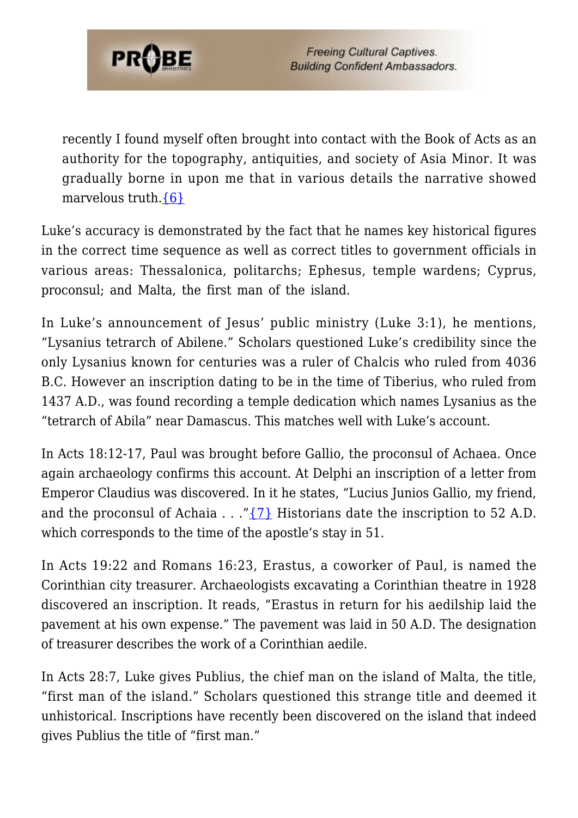

recently I found myself often brought into contact with the Book of Acts as an authority for the topography, antiquities, and society of Asia Minor. It was gradually borne in upon me that in various details the narrative showed marvelous truth.[{6}](#page-8-5)

Luke's accuracy is demonstrated by the fact that he names key historical figures in the correct time sequence as well as correct titles to government officials in various areas: Thessalonica, politarchs; Ephesus, temple wardens; Cyprus, proconsul; and Malta, the first man of the island.

In Luke's announcement of Jesus' public ministry (Luke 3:1), he mentions, "Lysanius tetrarch of Abilene." Scholars questioned Luke's credibility since the only Lysanius known for centuries was a ruler of Chalcis who ruled from 4036 B.C. However an inscription dating to be in the time of Tiberius, who ruled from 1437 A.D., was found recording a temple dedication which names Lysanius as the "tetrarch of Abila" near Damascus. This matches well with Luke's account.

In Acts 18:12-17, Paul was brought before Gallio, the proconsul of Achaea. Once again archaeology confirms this account. At Delphi an inscription of a letter from Emperor Claudius was discovered. In it he states, "Lucius Junios Gallio, my friend, and the proconsul of Achaia . . . " $\{7\}$  Historians date the inscription to 52 A.D. which corresponds to the time of the apostle's stay in 51.

In Acts 19:22 and Romans 16:23, Erastus, a coworker of Paul, is named the Corinthian city treasurer. Archaeologists excavating a Corinthian theatre in 1928 discovered an inscription. It reads, "Erastus in return for his aedilship laid the pavement at his own expense." The pavement was laid in 50 A.D. The designation of treasurer describes the work of a Corinthian aedile.

In Acts 28:7, Luke gives Publius, the chief man on the island of Malta, the title, "first man of the island." Scholars questioned this strange title and deemed it unhistorical. Inscriptions have recently been discovered on the island that indeed gives Publius the title of "first man."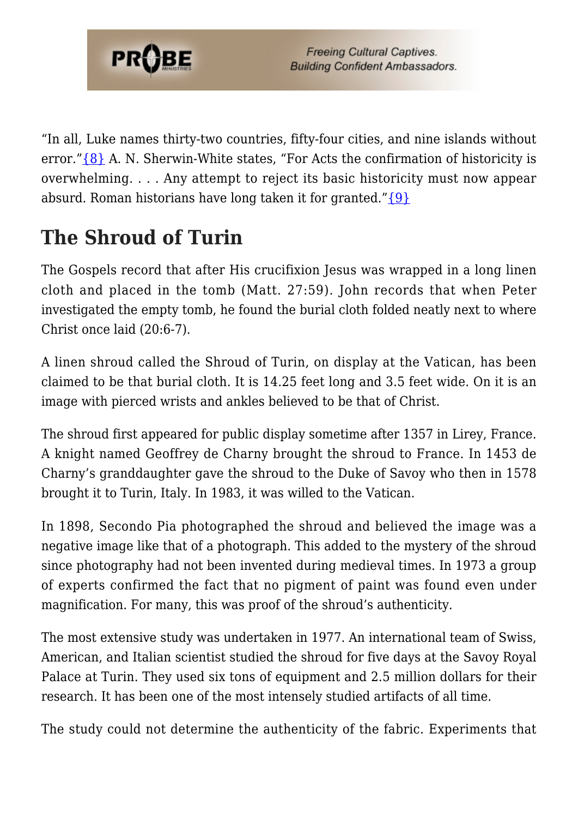

"In all, Luke names thirty-two countries, fifty-four cities, and nine islands without error."[{8}](#page-8-7) A. N. Sherwin-White states, "For Acts the confirmation of historicity is overwhelming. . . . Any attempt to reject its basic historicity must now appear absurd. Roman historians have long taken it for granted." $\{9\}$ 

# **The Shroud of Turin**

The Gospels record that after His crucifixion Jesus was wrapped in a long linen cloth and placed in the tomb (Matt. 27:59). John records that when Peter investigated the empty tomb, he found the burial cloth folded neatly next to where Christ once laid (20:6-7).

A linen shroud called the Shroud of Turin, on display at the Vatican, has been claimed to be that burial cloth. It is 14.25 feet long and 3.5 feet wide. On it is an image with pierced wrists and ankles believed to be that of Christ.

The shroud first appeared for public display sometime after 1357 in Lirey, France. A knight named Geoffrey de Charny brought the shroud to France. In 1453 de Charny's granddaughter gave the shroud to the Duke of Savoy who then in 1578 brought it to Turin, Italy. In 1983, it was willed to the Vatican.

In 1898, Secondo Pia photographed the shroud and believed the image was a negative image like that of a photograph. This added to the mystery of the shroud since photography had not been invented during medieval times. In 1973 a group of experts confirmed the fact that no pigment of paint was found even under magnification. For many, this was proof of the shroud's authenticity.

The most extensive study was undertaken in 1977. An international team of Swiss, American, and Italian scientist studied the shroud for five days at the Savoy Royal Palace at Turin. They used six tons of equipment and 2.5 million dollars for their research. It has been one of the most intensely studied artifacts of all time.

The study could not determine the authenticity of the fabric. Experiments that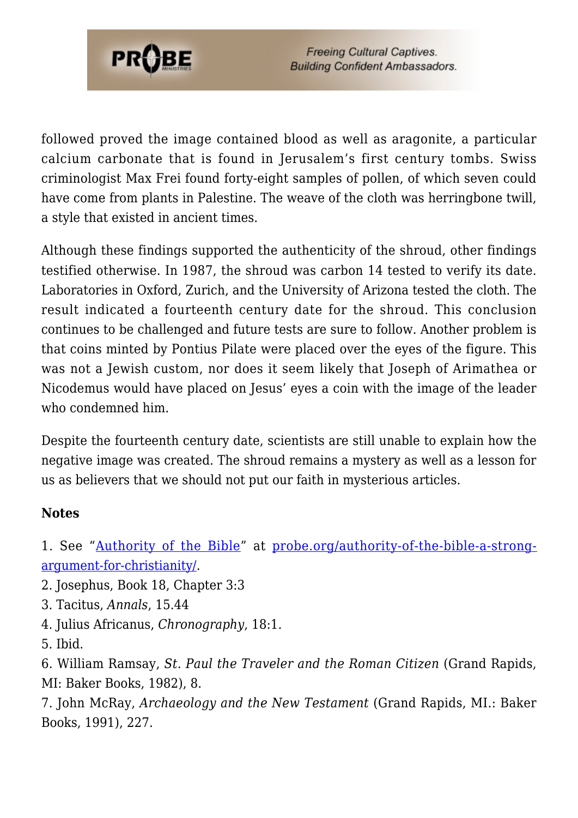

followed proved the image contained blood as well as aragonite, a particular calcium carbonate that is found in Jerusalem's first century tombs. Swiss criminologist Max Frei found forty-eight samples of pollen, of which seven could have come from plants in Palestine. The weave of the cloth was herringbone twill, a style that existed in ancient times.

Although these findings supported the authenticity of the shroud, other findings testified otherwise. In 1987, the shroud was carbon 14 tested to verify its date. Laboratories in Oxford, Zurich, and the University of Arizona tested the cloth. The result indicated a fourteenth century date for the shroud. This conclusion continues to be challenged and future tests are sure to follow. Another problem is that coins minted by Pontius Pilate were placed over the eyes of the figure. This was not a Jewish custom, nor does it seem likely that Joseph of Arimathea or Nicodemus would have placed on Jesus' eyes a coin with the image of the leader who condemned him.

Despite the fourteenth century date, scientists are still unable to explain how the negative image was created. The shroud remains a mystery as well as a lesson for us as believers that we should not put our faith in mysterious articles.

#### **Notes**

<span id="page-8-0"></span>1. See "[Authority of the Bible"](https://probe.org/authority-of-the-bible-a-strong-argument-for-christianity/) at [probe.org/authority-of-the-bible-a-strong](https://probe.org/authority-of-the-bible-a-strong-argument-for-christianity/)[argument-for-christianity/](https://probe.org/authority-of-the-bible-a-strong-argument-for-christianity/).

- <span id="page-8-1"></span>2. Josephus, Book 18, Chapter 3:3
- <span id="page-8-2"></span>3. Tacitus, *Annals*, 15.44
- <span id="page-8-3"></span>4. Julius Africanus, *Chronography*, 18:1.
- <span id="page-8-4"></span>5. Ibid.

<span id="page-8-5"></span>6. William Ramsay, *St. Paul the Traveler and the Roman Citizen* (Grand Rapids, MI: Baker Books, 1982), 8.

<span id="page-8-7"></span><span id="page-8-6"></span>7. John McRay, *Archaeology and the New Testament* (Grand Rapids, MI.: Baker Books, 1991), 227.